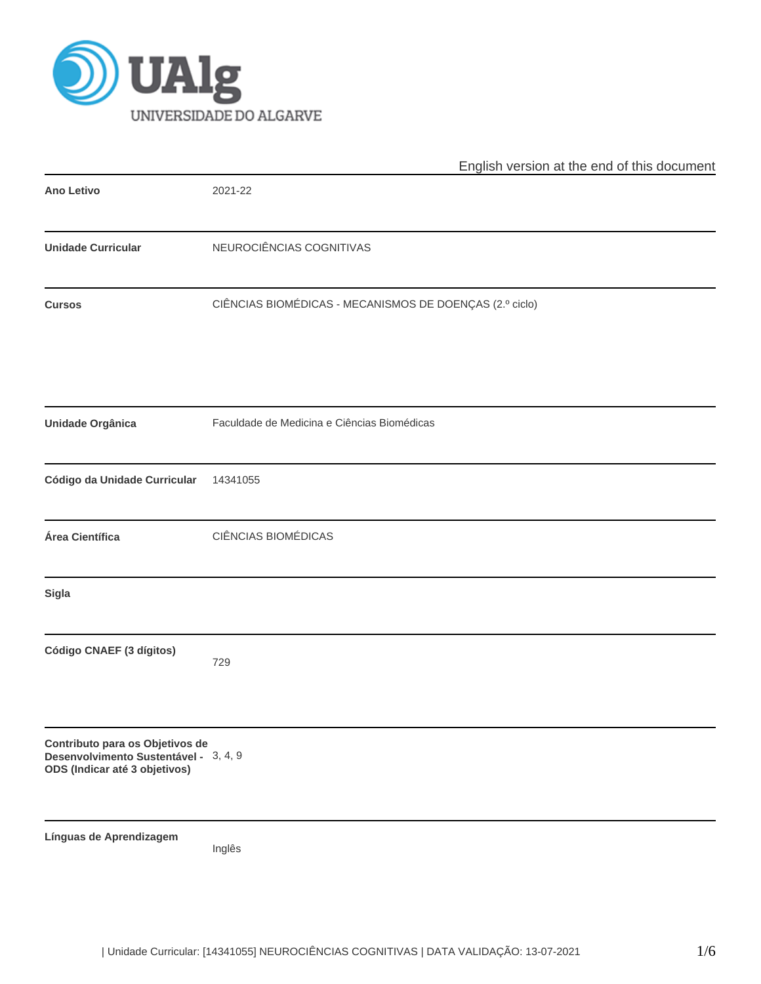

|                                                                                                           | English version at the end of this document             |
|-----------------------------------------------------------------------------------------------------------|---------------------------------------------------------|
| <b>Ano Letivo</b>                                                                                         | 2021-22                                                 |
| <b>Unidade Curricular</b>                                                                                 | NEUROCIÊNCIAS COGNITIVAS                                |
| <b>Cursos</b>                                                                                             | CIÊNCIAS BIOMÉDICAS - MECANISMOS DE DOENÇAS (2.º ciclo) |
| Unidade Orgânica                                                                                          | Faculdade de Medicina e Ciências Biomédicas             |
| Código da Unidade Curricular                                                                              | 14341055                                                |
| Área Científica                                                                                           | CIÊNCIAS BIOMÉDICAS                                     |
| Sigla                                                                                                     |                                                         |
| Código CNAEF (3 dígitos)                                                                                  | 729                                                     |
| Contributo para os Objetivos de<br>Desenvolvimento Sustentável - 3, 4, 9<br>ODS (Indicar até 3 objetivos) |                                                         |
| Línguas de Aprendizagem                                                                                   | Inglês                                                  |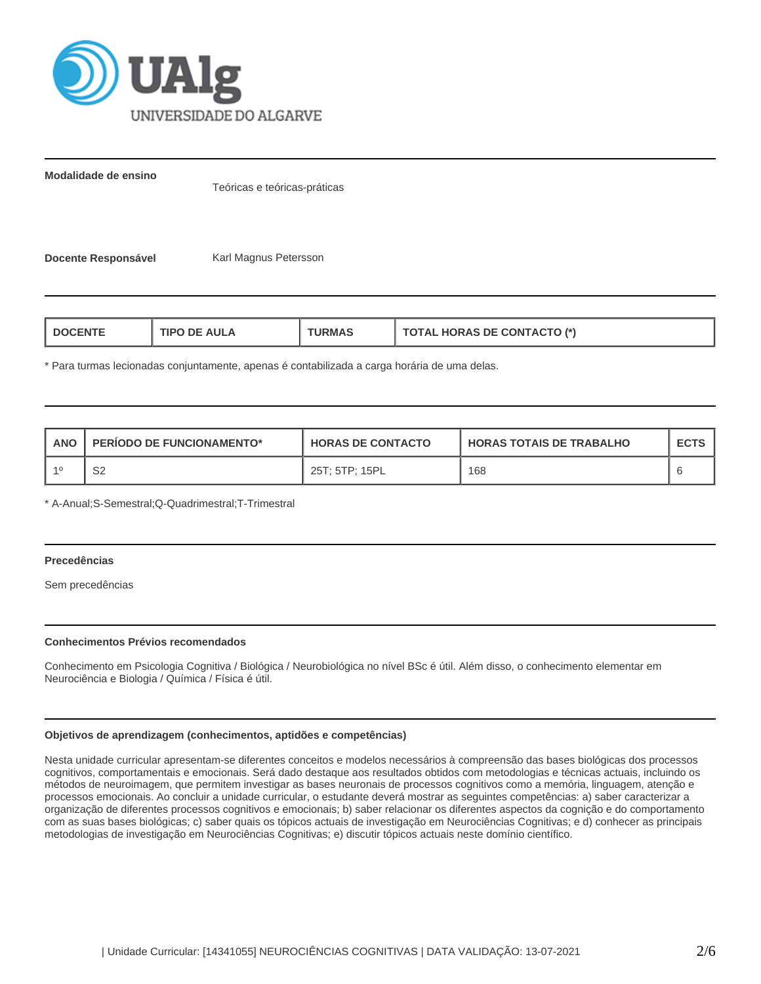

**Modalidade de ensino**

Teóricas e teóricas-práticas

**Docente Responsável Karl Magnus Petersson** 

| <b>HORAS DE CONTACTO (*)</b><br>AUI A<br>L DOCENT<br>חסו<br>"RMAS"<br>$\blacksquare$ |
|--------------------------------------------------------------------------------------|
|--------------------------------------------------------------------------------------|

\* Para turmas lecionadas conjuntamente, apenas é contabilizada a carga horária de uma delas.

| ANO | PERIODO DE FUNCIONAMENTO* | <b>HORAS DE CONTACTO</b> | I HORAS TOTAIS DE TRABALHO | <b>ECTS</b> |
|-----|---------------------------|--------------------------|----------------------------|-------------|
|     | S2                        | 25T: 5TP: 15PL           | 168                        |             |

\* A-Anual;S-Semestral;Q-Quadrimestral;T-Trimestral

### **Precedências**

Sem precedências

## **Conhecimentos Prévios recomendados**

Conhecimento em Psicologia Cognitiva / Biológica / Neurobiológica no nível BSc é útil. Além disso, o conhecimento elementar em Neurociência e Biologia / Química / Física é útil.

# **Objetivos de aprendizagem (conhecimentos, aptidões e competências)**

Nesta unidade curricular apresentam-se diferentes conceitos e modelos necessários à compreensão das bases biológicas dos processos cognitivos, comportamentais e emocionais. Será dado destaque aos resultados obtidos com metodologias e técnicas actuais, incluindo os métodos de neuroimagem, que permitem investigar as bases neuronais de processos cognitivos como a memória, linguagem, atenção e processos emocionais. Ao concluir a unidade curricular, o estudante deverá mostrar as seguintes competências: a) saber caracterizar a organização de diferentes processos cognitivos e emocionais; b) saber relacionar os diferentes aspectos da cognição e do comportamento com as suas bases biológicas; c) saber quais os tópicos actuais de investigação em Neurociências Cognitivas; e d) conhecer as principais metodologias de investigação em Neurociências Cognitivas; e) discutir tópicos actuais neste domínio científico.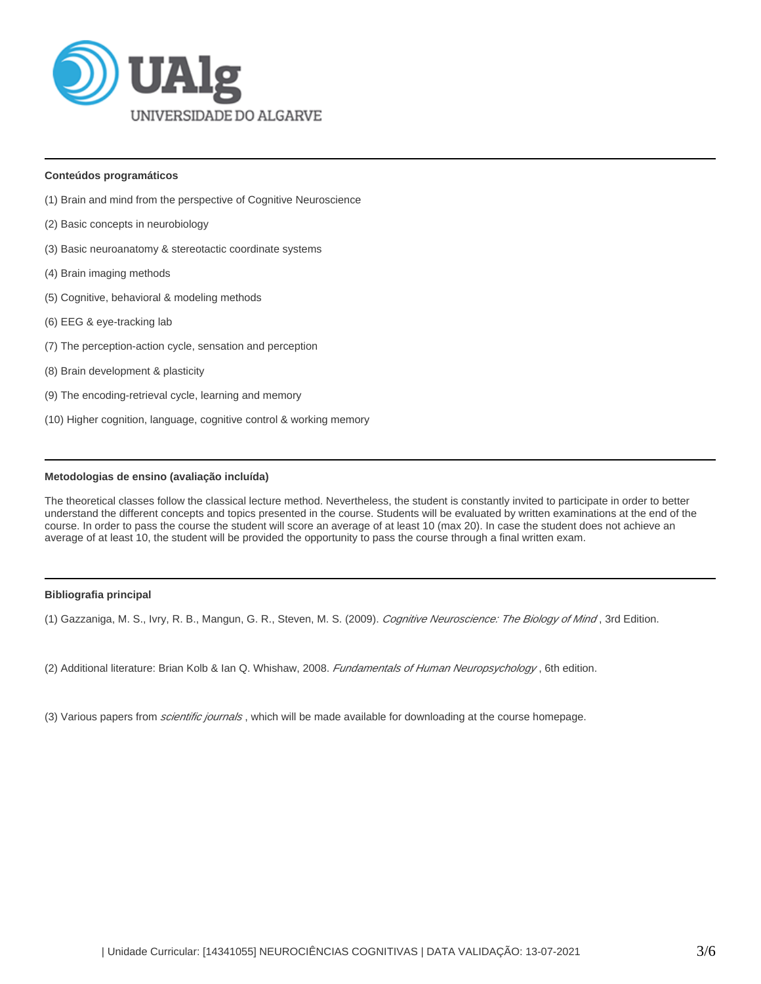

#### **Conteúdos programáticos**

- (1) Brain and mind from the perspective of Cognitive Neuroscience
- (2) Basic concepts in neurobiology
- (3) Basic neuroanatomy & stereotactic coordinate systems
- (4) Brain imaging methods
- (5) Cognitive, behavioral & modeling methods
- (6) EEG & eye-tracking lab
- (7) The perception-action cycle, sensation and perception
- (8) Brain development & plasticity
- (9) The encoding-retrieval cycle, learning and memory
- (10) Higher cognition, language, cognitive control & working memory

## **Metodologias de ensino (avaliação incluída)**

The theoretical classes follow the classical lecture method. Nevertheless, the student is constantly invited to participate in order to better understand the different concepts and topics presented in the course. Students will be evaluated by written examinations at the end of the course. In order to pass the course the student will score an average of at least 10 (max 20). In case the student does not achieve an average of at least 10, the student will be provided the opportunity to pass the course through a final written exam.

#### **Bibliografia principal**

(1) Gazzaniga, M. S., Ivry, R. B., Mangun, G. R., Steven, M. S. (2009). Cognitive Neuroscience: The Biology of Mind, 3rd Edition.

(2) Additional literature: Brian Kolb & Ian Q. Whishaw, 2008. Fundamentals of Human Neuropsychology, 6th edition.

(3) Various papers from *scientific journals*, which will be made available for downloading at the course homepage.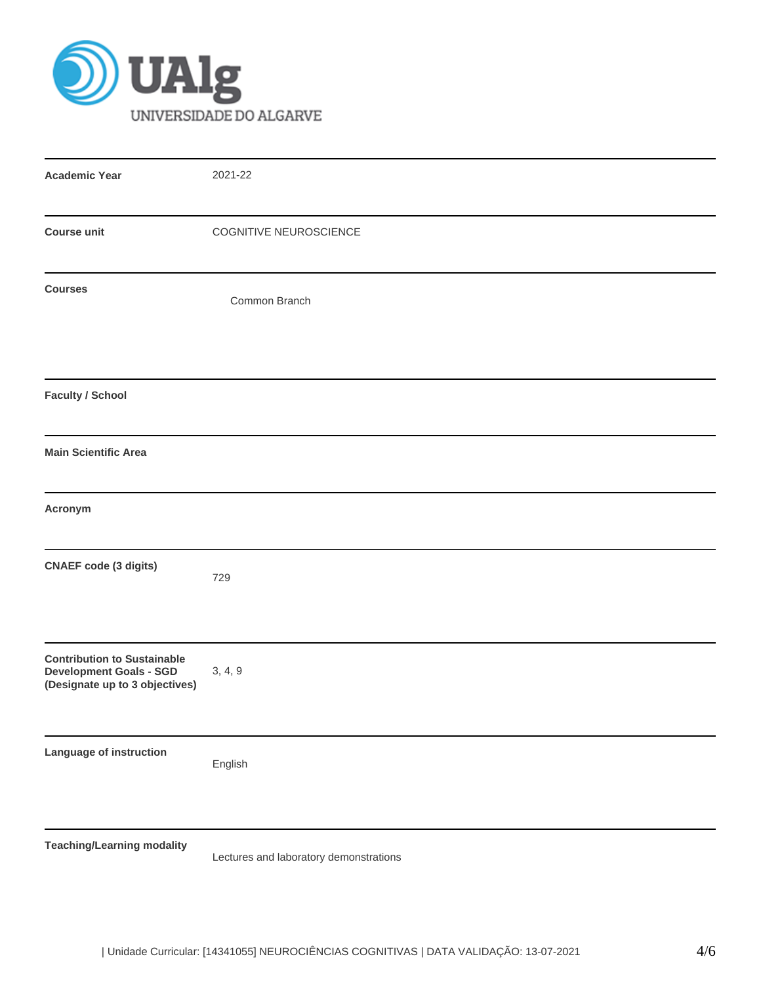

| <b>Academic Year</b>                                                                                   | 2021-22                                |
|--------------------------------------------------------------------------------------------------------|----------------------------------------|
| <b>Course unit</b>                                                                                     | COGNITIVE NEUROSCIENCE                 |
| <b>Courses</b>                                                                                         | Common Branch                          |
| <b>Faculty / School</b>                                                                                |                                        |
| <b>Main Scientific Area</b>                                                                            |                                        |
| Acronym                                                                                                |                                        |
| <b>CNAEF</b> code (3 digits)                                                                           | 729                                    |
| <b>Contribution to Sustainable</b><br><b>Development Goals - SGD</b><br>(Designate up to 3 objectives) | 3, 4, 9                                |
| Language of instruction                                                                                | English                                |
| <b>Teaching/Learning modality</b>                                                                      | Lectures and laboratory demonstrations |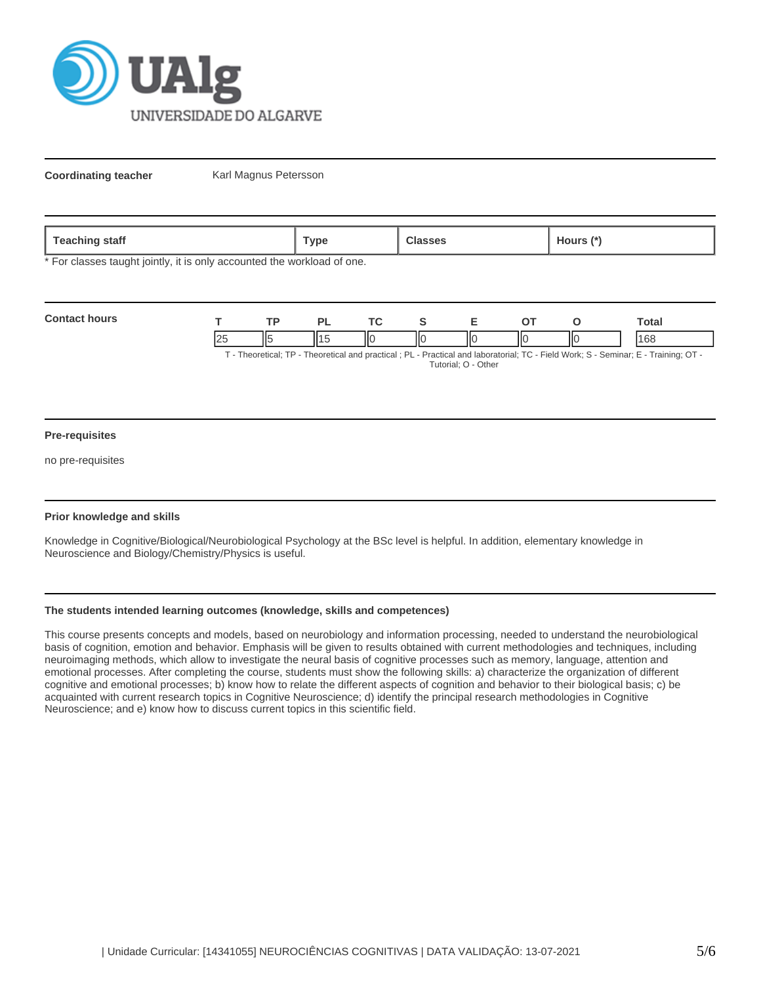

**Coordinating teacher** Karl Magnus Petersson

| Teaching<br>staff | $^{\mathsf{T}}$ vpe | -каззез | Hours |
|-------------------|---------------------|---------|-------|
|                   |                     |         |       |

\* For classes taught jointly, it is only accounted the workload of one.

| <b>Contact hours</b> |  |     |   |  |    | `otal                                                                                                                             |
|----------------------|--|-----|---|--|----|-----------------------------------------------------------------------------------------------------------------------------------|
|                      |  | 110 | Ш |  | IЮ | 168                                                                                                                               |
|                      |  |     |   |  |    | . Theoratical: TP - Theoratical and practical : PL - Practical and laboratorial: TC - Field Work: S - Seminar: F - Training: OT - |

- Theoretical; TP - Theoretical and practical ; PL - Practical and laboratorial; TC - Field Work; S - Seminar; E - Training; OT Tutorial; O - Other

#### **Pre-requisites**

no pre-requisites

### **Prior knowledge and skills**

Knowledge in Cognitive/Biological/Neurobiological Psychology at the BSc level is helpful. In addition, elementary knowledge in Neuroscience and Biology/Chemistry/Physics is useful.

### **The students intended learning outcomes (knowledge, skills and competences)**

This course presents concepts and models, based on neurobiology and information processing, needed to understand the neurobiological basis of cognition, emotion and behavior. Emphasis will be given to results obtained with current methodologies and techniques, including neuroimaging methods, which allow to investigate the neural basis of cognitive processes such as memory, language, attention and emotional processes. After completing the course, students must show the following skills: a) characterize the organization of different cognitive and emotional processes; b) know how to relate the different aspects of cognition and behavior to their biological basis; c) be acquainted with current research topics in Cognitive Neuroscience; d) identify the principal research methodologies in Cognitive Neuroscience; and e) know how to discuss current topics in this scientific field.